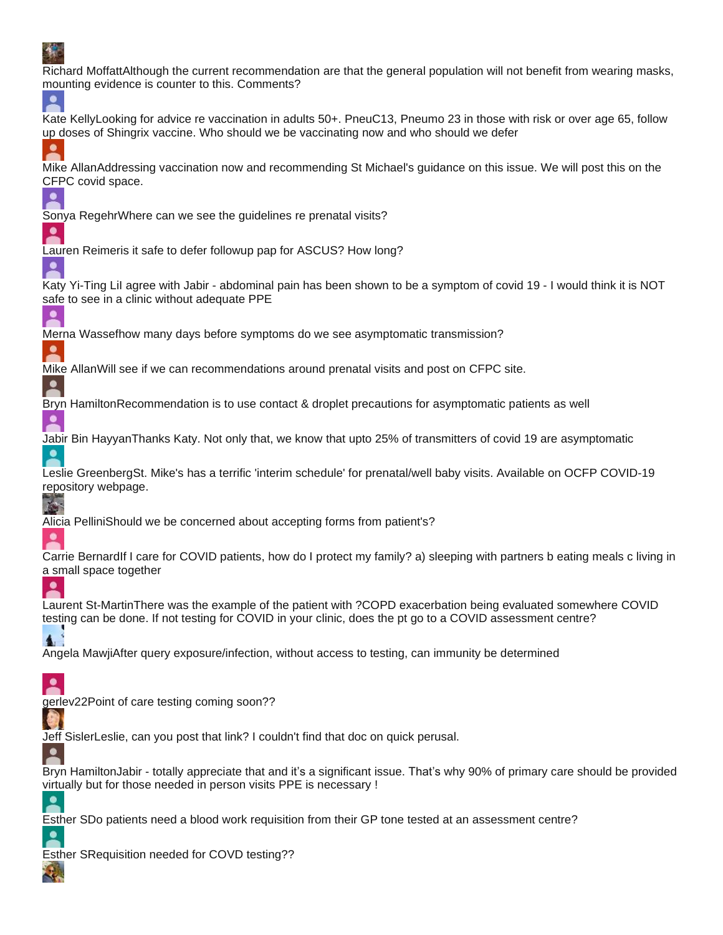# 

| e pro                                                                                                                                                                                                                       |
|-----------------------------------------------------------------------------------------------------------------------------------------------------------------------------------------------------------------------------|
| Richard MoffattAlthough the current recommendation are that the general population will not benefit from wearing masks,<br>mounting evidence is counter to this. Comments?                                                  |
| Kate KellyLooking for advice re vaccination in adults 50+. PneuC13, Pneumo 23 in those with risk or over age 65, follow<br>up doses of Shingrix vaccine. Who should we be vaccinating now and who should we defer           |
| Mike AllanAddressing vaccination now and recommending St Michael's guidance on this issue. We will post this on the<br>CFPC covid space.                                                                                    |
| Sonya RegehrWhere can we see the guidelines re prenatal visits?                                                                                                                                                             |
| Lauren Reimeris it safe to defer followup pap for ASCUS? How long?                                                                                                                                                          |
| Katy Yi-Ting Lil agree with Jabir - abdominal pain has been shown to be a symptom of covid 19 - I would think it is NOT<br>safe to see in a clinic without adequate PPE                                                     |
| Merna Wassefhow many days before symptoms do we see asymptomatic transmission?                                                                                                                                              |
| Mike AllanWill see if we can recommendations around prenatal visits and post on CFPC site.                                                                                                                                  |
| Bryn HamiltonRecommendation is to use contact & droplet precautions for asymptomatic patients as well                                                                                                                       |
| Jabir Bin HayyanThanks Katy. Not only that, we know that upto 25% of transmitters of covid 19 are asymptomatic                                                                                                              |
| Leslie GreenbergSt. Mike's has a terrific 'interim schedule' for prenatal/well baby visits. Available on OCFP COVID-19<br>repository webpage.                                                                               |
| Alicia PelliniShould we be concerned about accepting forms from patient's?                                                                                                                                                  |
| Carrie BernardIf I care for COVID patients, how do I protect my family? a) sleeping with partners b eating meals c living in<br>a small space together                                                                      |
| Laurent St-MartinThere was the example of the patient with ?COPD exacerbation being evaluated somewhere COVID<br>testing can be done. If not testing for COVID in your clinic, does the pt go to a COVID assessment centre? |
| Angela MawjiAfter query exposure/infection, without access to testing, can immunity be determined                                                                                                                           |
| gerlev22Point of care testing coming soon??                                                                                                                                                                                 |
| Jeff SislerLeslie, can you post that link? I couldn't find that doc on quick perusal.                                                                                                                                       |
| Bryn HamiltonJabir - totally appreciate that and it's a significant issue. That's why 90% of primary care should be provided<br>virtually but for those needed in person visits PPE is necessary !                          |
| Esther SDo patients need a blood work requisition from their GP tone tested at an assessment centre?                                                                                                                        |
| Esther SRequisition needed for COVD testing??                                                                                                                                                                               |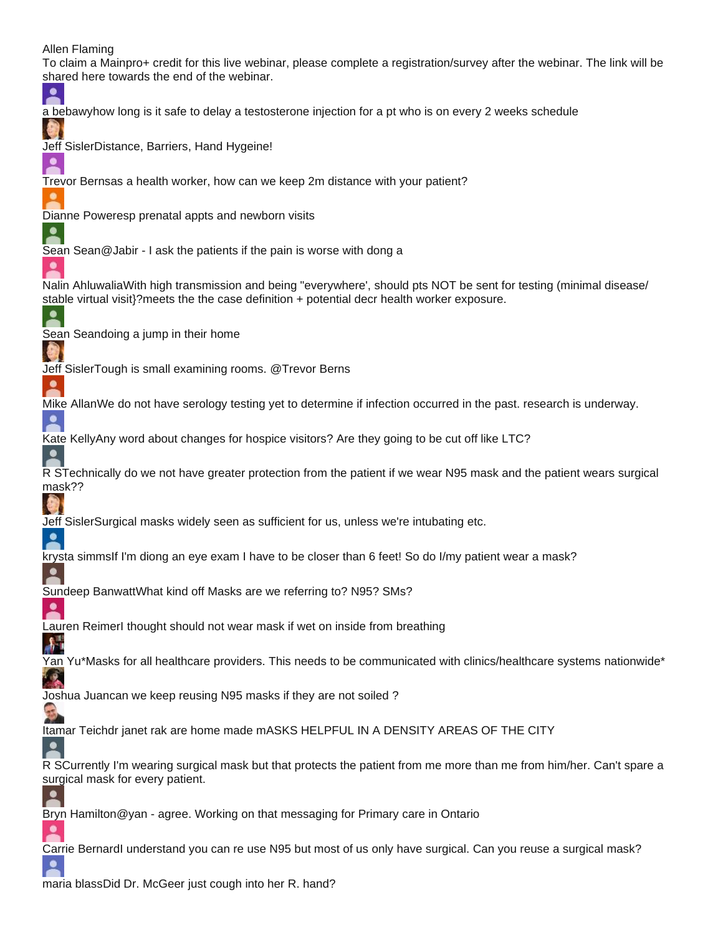### Allen Flaming

To claim a Mainpro+ credit for this live webinar, please complete a registration/survey after the webinar. The link will be shared here towards the end of the webinar. ≗ a bebawyhow long is it safe to delay a testosterone injection for a pt who is on every 2 weeks schedule Jeff SislerDistance, Barriers, Hand Hygeine! Trevor Bernsas a health worker, how can we keep 2m distance with your patient? Dianne Poweresp prenatal appts and newborn visits 2 Sean Sean@Jabir - I ask the patients if the pain is worse with dong a  $\bullet$ Nalin AhluwaliaWith high transmission and being "everywhere', should pts NOT be sent for testing (minimal disease/ stable virtual visit}?meets the the case definition + potential decr health worker exposure. Sean Seandoing a jump in their home Jeff SislerTough is small examining rooms. @Trevor Berns Mike AllanWe do not have serology testing yet to determine if infection occurred in the past. research is underway.  $\bullet$ Kate KellyAny word about changes for hospice visitors? Are they going to be cut off like LTC?  $\bullet$ R STechnically do we not have greater protection from the patient if we wear N95 mask and the patient wears surgical mask?? Jeff SislerSurgical masks widely seen as sufficient for us, unless we're intubating etc.  $\bullet$ krysta simmsIf I'm diong an eye exam I have to be closer than 6 feet! So do I/my patient wear a mask? ≗ Sundeep BanwattWhat kind off Masks are we referring to? N95? SMs? Lauren ReimerI thought should not wear mask if wet on inside from breathing  $\mathbf{A}$ Yan Yu\*Masks for all healthcare providers. This needs to be communicated with clinics/healthcare systems nationwide\* 嗪 Joshua Juancan we keep reusing N95 masks if they are not soiled ? Itamar Teichdr janet rak are home made mASKS HELPFUL IN A DENSITY AREAS OF THE CITY ≗ R SCurrently I'm wearing surgical mask but that protects the patient from me more than me from him/her. Can't spare a surgical mask for every patient. ≗ Bryn Hamilton@yan - agree. Working on that messaging for Primary care in Ontario Carrie BernardI understand you can re use N95 but most of us only have surgical. Can you reuse a surgical mask?  $\bullet$ 

maria blassDid Dr. McGeer just cough into her R. hand?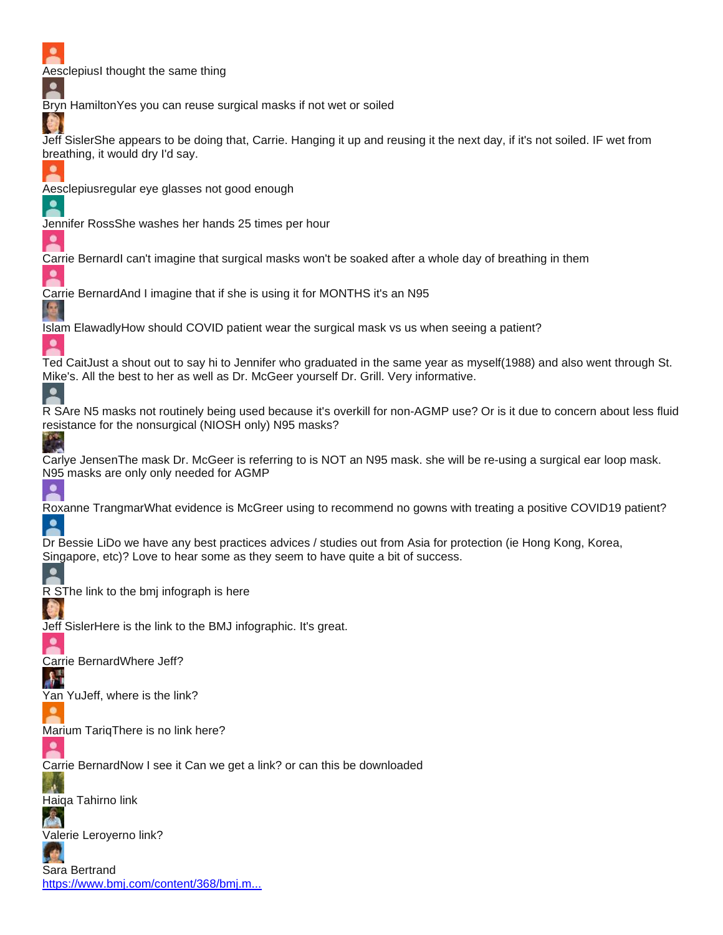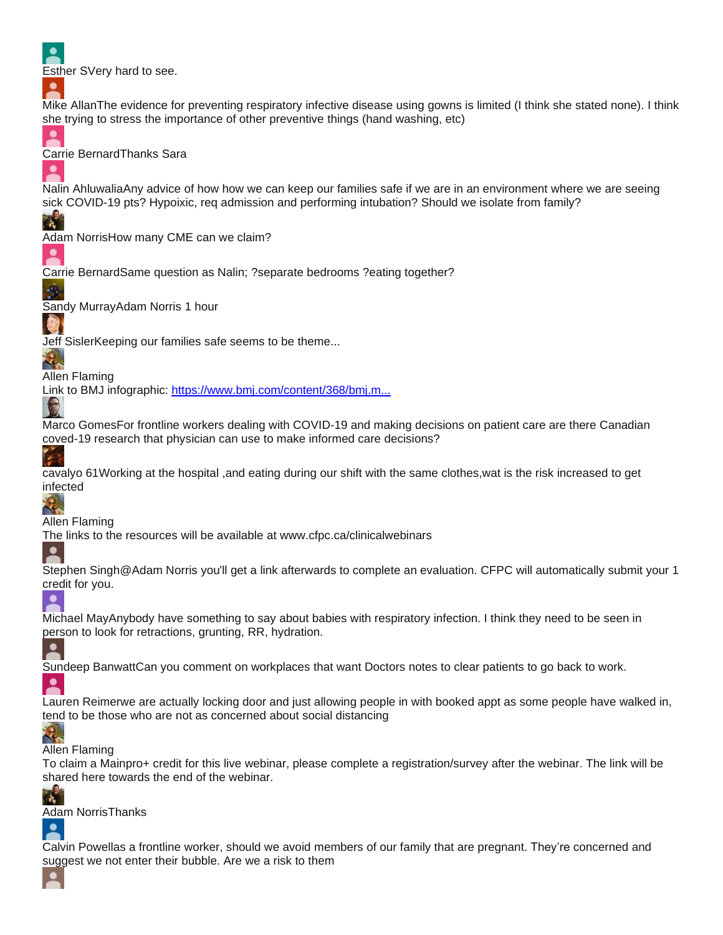

Mike AllanThe evidence for preventing respiratory infective disease using gowns is limited (I think she stated none). I think she trying to stress the importance of other preventive things (hand washing, etc)



٠

W

٠

 $\bullet$ 

Carrie BernardThanks Sara

Nalin AhluwaliaAny advice of how how we can keep our families safe if we are in an environment where we are seeing sick COVID-19 pts? Hypoixic, req admission and performing intubation? Should we isolate from family?

Adam NorrisHow many CME can we claim?

Carrie BernardSame question as Nalin; ?separate bedrooms ?eating together?

Sandy MurrayAdam Norris 1 hour

Jeff SislerKeeping our families safe seems to be theme...

 $\mathbf{R}$ Allen Flaming

Link to BMJ infographic: [https://www.bmj.com/content/368/bmj.m...](https://www.youtube.com/redirect?q=https%3A%2F%2Fwww.bmj.com%2Fcontent%2F368%2Fbmj.m1182%2Finfographic&event=live_chat&redir_token=env2jYstd1ewopeJxbtalYVrind8MTU4NjI2NzA1NUAxNTg2MTgwNjU1)

Marco GomesFor frontline workers dealing with COVID-19 and making decisions on patient care are there Canadian coved-19 research that physician can use to make informed care decisions?

Ç.

C

cavalyo 61Working at the hospital ,and eating during our shift with the same clothes,wat is the risk increased to get infected

Allen Flaming

The links to the resources will be available at www.cfpc.ca/clinicalwebinars

≗

Stephen Singh@Adam Norris you'll get a link afterwards to complete an evaluation. CFPC will automatically submit your 1 credit for you.

 $\bullet$ 

Michael MayAnybody have something to say about babies with respiratory infection. I think they need to be seen in person to look for retractions, grunting, RR, hydration.

Sundeep BanwattCan you comment on workplaces that want Doctors notes to clear patients to go back to work.

2

≗

Lauren Reimerwe are actually locking door and just allowing people in with booked appt as some people have walked in, tend to be those who are not as concerned about social distancing

## Ч.

Allen Flaming

To claim a Mainpro+ credit for this live webinar, please complete a registration/survey after the webinar. The link will be shared here towards the end of the webinar.



Adam NorrisThanks  $\bullet$ 

Calvin Powellas a frontline worker, should we avoid members of our family that are pregnant. They're concerned and suggest we not enter their bubble. Are we a risk to them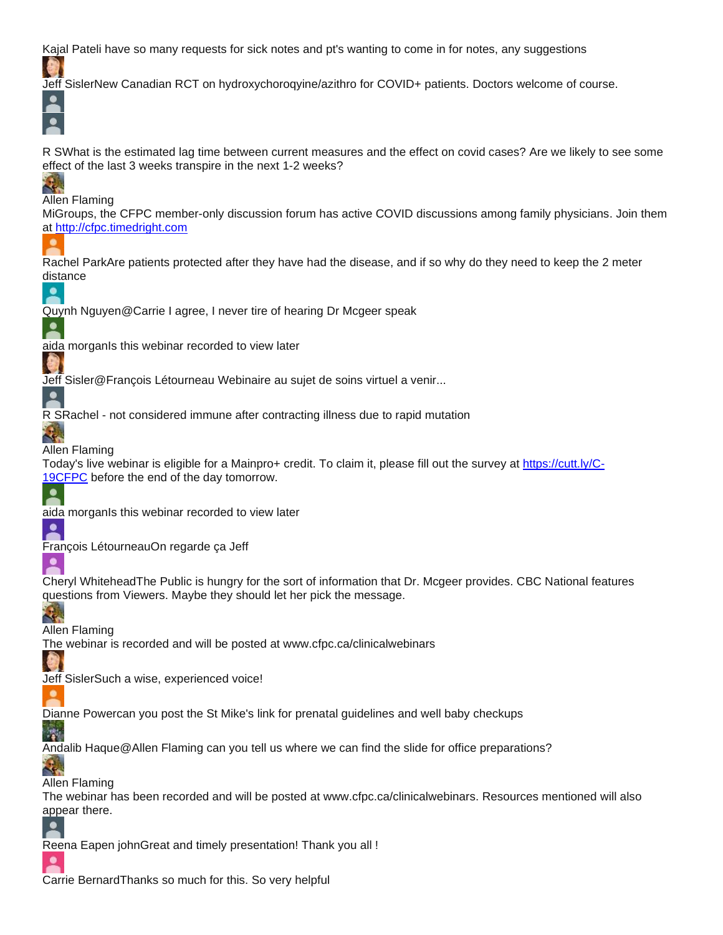Kajal Pateli have so many requests for sick notes and pt's wanting to come in for notes, any suggestions

Jeff SislerNew Canadian RCT on hydroxychoroqyine/azithro for COVID+ patients. Doctors welcome of course.

R SWhat is the estimated lag time between current measures and the effect on covid cases? Are we likely to see some effect of the last 3 weeks transpire in the next 1-2 weeks?

## Ч.

 $\overline{\bullet}$  $\bullet$ 

Allen Flaming

MiGroups, the CFPC member-only discussion forum has active COVID discussions among family physicians. Join them at [http://cfpc.timedright.com](https://www.youtube.com/redirect?redir_token=FJ8et3MA5iG1ZeGYn3bxgzHkREl8MTU4NjI2NzU1M0AxNTg2MTgxMTUz&q=http%3A%2F%2Fcfpc.timedright.com&event=live_chat)

Rachel ParkAre patients protected after they have had the disease, and if so why do they need to keep the 2 meter distance



 $\bullet$ 

a,

Quynh Nguyen@Carrie I agree, I never tire of hearing Dr Mcgeer speak

aida morganIs this webinar recorded to view later

Jeff Sisler@François Létourneau Webinaire au sujet de soins virtuel a venir...



 $\mathcal{A}_{\mathbf{r}}$ 

≗

2

≗

R SRachel - not considered immune after contracting illness due to rapid mutation

### Allen Flaming

Today's live webinar is eligible for a Mainpro+ credit. To claim it, please fill out the survey at [https://cutt.ly/C-](https://www.youtube.com/redirect?redir_token=FJ8et3MA5iG1ZeGYn3bxgzHkREl8MTU4NjI2NzU1M0AxNTg2MTgxMTUz&q=https%3A%2F%2Fcutt.ly%2FC-19CFPC&event=live_chat)[19CFPC](https://www.youtube.com/redirect?redir_token=FJ8et3MA5iG1ZeGYn3bxgzHkREl8MTU4NjI2NzU1M0AxNTg2MTgxMTUz&q=https%3A%2F%2Fcutt.ly%2FC-19CFPC&event=live_chat) before the end of the day tomorrow.

aida morganIs this webinar recorded to view later

François LétourneauOn regarde ça Jeff

Cheryl WhiteheadThe Public is hungry for the sort of information that Dr. Mcgeer provides. CBC National features questions from Viewers. Maybe they should let her pick the message.

Ц,

灣

 $\bullet$ 

 $\bullet$ 

Allen Flaming

The webinar is recorded and will be posted at www.cfpc.ca/clinicalwebinars

Jeff SislerSuch a wise, experienced voice!

Dianne Powercan you post the St Mike's link for prenatal guidelines and well baby checkups

Andalib Haque@Allen Flaming can you tell us where we can find the slide for office preparations?

 $\mathcal{L}_{\mathbf{q}_i}$ Allen Flaming

The webinar has been recorded and will be posted at www.cfpc.ca/clinicalwebinars. Resources mentioned will also appear there.



Carrie BernardThanks so much for this. So very helpful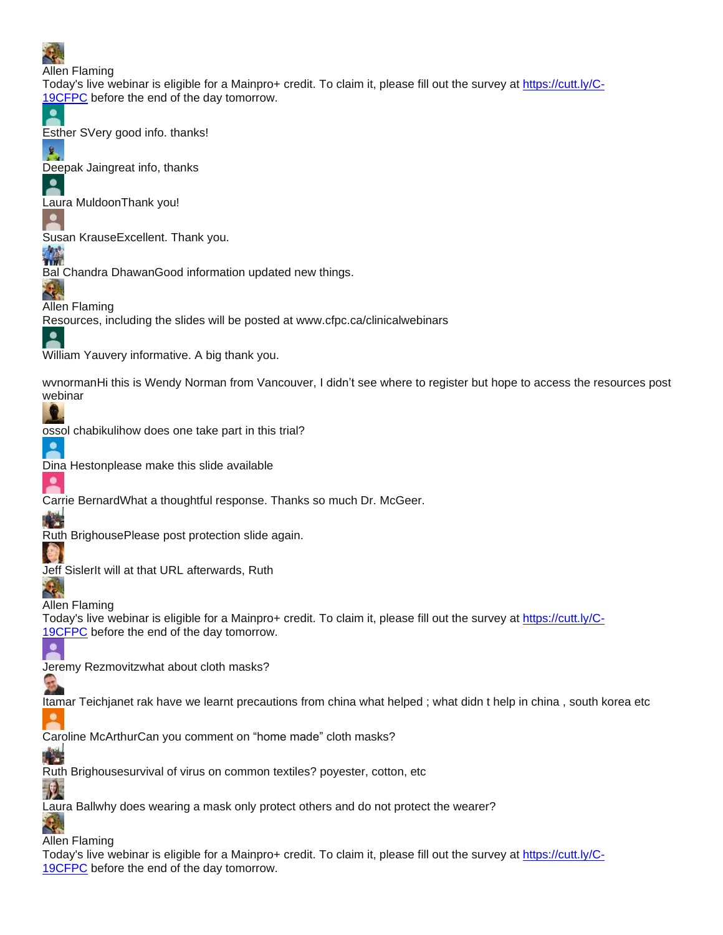

Allen Flaming

Today's live webinar is eligible for a Mainpro+ credit. To claim it, please fill out the survey at [https://cutt.ly/C-](https://www.youtube.com/redirect?redir_token=FJ8et3MA5iG1ZeGYn3bxgzHkREl8MTU4NjI2NzU1M0AxNTg2MTgxMTUz&q=https%3A%2F%2Fcutt.ly%2FC-19CFPC&event=live_chat)[19CFPC](https://www.youtube.com/redirect?redir_token=FJ8et3MA5iG1ZeGYn3bxgzHkREl8MTU4NjI2NzU1M0AxNTg2MTgxMTUz&q=https%3A%2F%2Fcutt.ly%2FC-19CFPC&event=live_chat) before the end of the day tomorrow.



呈

2

 $\bullet$ 

Esther SVery good info. thanks!

Deepak Jaingreat info, thanks

Laura MuldoonThank you!

Susan KrauseExcellent. Thank you.



∙

Bal Chandra DhawanGood information updated new things.

٠., Allen Flaming Resources, including the slides will be posted at www.cfpc.ca/clinicalwebinars

William Yauvery informative. A big thank you.

wvnormanHi this is Wendy Norman from Vancouver, I didn't see where to register but hope to access the resources post webinar

ossol chabikulihow does one take part in this trial?



Dina Hestonplease make this slide available

2 Carrie BernardWhat a thoughtful response. Thanks so much Dr. McGeer.



Ruth BrighousePlease post protection slide again.



۰

Jeff SislerIt will at that URL afterwards, Ruth

 $\mathcal{L}_{\mathbf{r}}$ Allen Flaming

Today's live webinar is eligible for a Mainpro+ credit. To claim it, please fill out the survey at [https://cutt.ly/C-](https://www.youtube.com/redirect?q=https%3A%2F%2Fcutt.ly%2FC-19CFPC&event=live_chat&redir_token=env2jYstd1ewopeJxbtalYVrind8MTU4NjI2NzA1NUAxNTg2MTgwNjU1)[19CFPC](https://www.youtube.com/redirect?q=https%3A%2F%2Fcutt.ly%2FC-19CFPC&event=live_chat&redir_token=env2jYstd1ewopeJxbtalYVrind8MTU4NjI2NzA1NUAxNTg2MTgwNjU1) before the end of the day tomorrow.

Jeremy Rezmovitzwhat about cloth masks?

Itamar Teichjanet rak have we learnt precautions from china what helped ; what didn t help in china , south korea etc

Caroline McArthurCan you comment on "home made" cloth masks?

y Si Ruth Brighousesurvival of virus on common textiles? poyester, cotton, etc

 $\mathcal{P}$ Laura Ballwhy does wearing a mask only protect others and do not protect the wearer?

Q. Allen Flaming

Today's live webinar is eligible for a Mainpro+ credit. To claim it, please fill out the survey at [https://cutt.ly/C-](https://www.youtube.com/redirect?q=https%3A%2F%2Fcutt.ly%2FC-19CFPC&event=live_chat&redir_token=env2jYstd1ewopeJxbtalYVrind8MTU4NjI2NzA1NUAxNTg2MTgwNjU1)[19CFPC](https://www.youtube.com/redirect?q=https%3A%2F%2Fcutt.ly%2FC-19CFPC&event=live_chat&redir_token=env2jYstd1ewopeJxbtalYVrind8MTU4NjI2NzA1NUAxNTg2MTgwNjU1) before the end of the day tomorrow.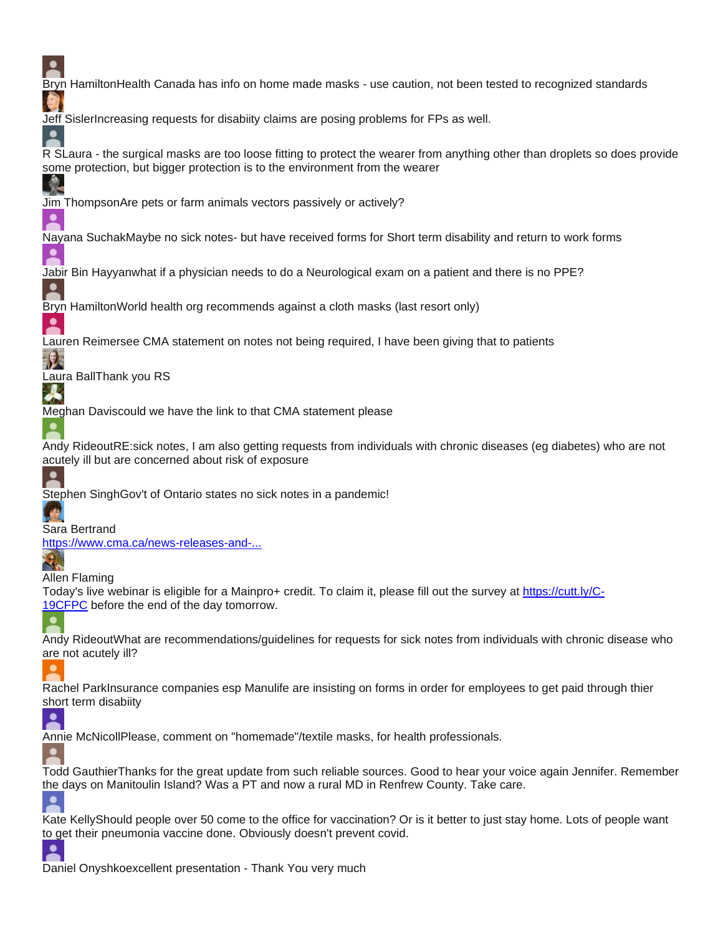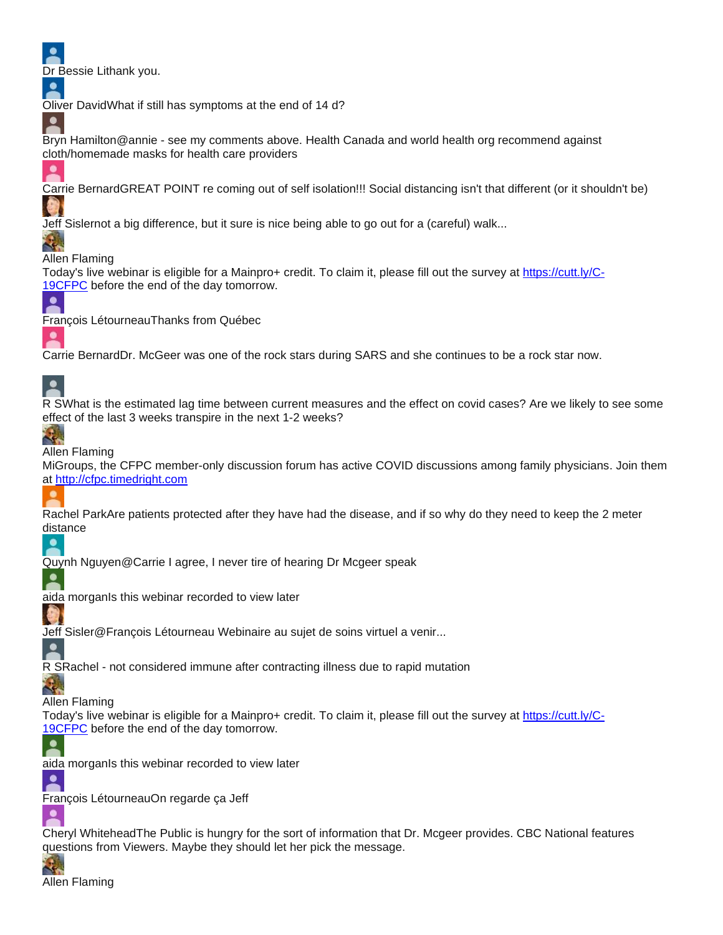Dr Bessie Lithank you.



 $\overline{\phantom{a}}$ 

 $\bullet$ 

Oliver DavidWhat if still has symptoms at the end of 14 d?

Bryn Hamilton@annie - see my comments above. Health Canada and world health org recommend against cloth/homemade masks for health care providers

Carrie BernardGREAT POINT re coming out of self isolation!!! Social distancing isn't that different (or it shouldn't be)

Jeff Sislernot a big difference, but it sure is nice being able to go out for a (careful) walk...

Allen Flaming

Today's live webinar is eligible for a Mainpro+ credit. To claim it, please fill out the survey at [https://cutt.ly/C-](https://www.youtube.com/redirect?redir_token=FJ8et3MA5iG1ZeGYn3bxgzHkREl8MTU4NjI2NzU1M0AxNTg2MTgxMTUz&q=https%3A%2F%2Fcutt.ly%2FC-19CFPC&event=live_chat)[19CFPC](https://www.youtube.com/redirect?redir_token=FJ8et3MA5iG1ZeGYn3bxgzHkREl8MTU4NjI2NzU1M0AxNTg2MTgxMTUz&q=https%3A%2F%2Fcutt.ly%2FC-19CFPC&event=live_chat) before the end of the day tomorrow.



٠

François LétourneauThanks from Québec

Carrie BernardDr. McGeer was one of the rock stars during SARS and she continues to be a rock star now.

# $\overline{\mathbf{z}}$

R SWhat is the estimated lag time between current measures and the effect on covid cases? Are we likely to see some effect of the last 3 weeks transpire in the next 1-2 weeks?

## Q,

Allen Flaming

MiGroups, the CFPC member-only discussion forum has active COVID discussions among family physicians. Join them at [http://cfpc.timedright.com](https://www.youtube.com/redirect?redir_token=FJ8et3MA5iG1ZeGYn3bxgzHkREl8MTU4NjI2NzU1M0AxNTg2MTgxMTUz&q=http%3A%2F%2Fcfpc.timedright.com&event=live_chat)

Rachel ParkAre patients protected after they have had the disease, and if so why do they need to keep the 2 meter distance



Quynh Nguyen@Carrie I agree, I never tire of hearing Dr Mcgeer speak



 $\bullet$ 

≗

≗

aida morganIs this webinar recorded to view later

Jeff Sisler@François Létourneau Webinaire au sujet de soins virtuel a venir...

R SRachel - not considered immune after contracting illness due to rapid mutation

Ч. Allen Flaming

Today's live webinar is eligible for a Mainpro+ credit. To claim it, please fill out the survey at [https://cutt.ly/C-](https://www.youtube.com/redirect?redir_token=FJ8et3MA5iG1ZeGYn3bxgzHkREl8MTU4NjI2NzU1M0AxNTg2MTgxMTUz&q=https%3A%2F%2Fcutt.ly%2FC-19CFPC&event=live_chat)[19CFPC](https://www.youtube.com/redirect?redir_token=FJ8et3MA5iG1ZeGYn3bxgzHkREl8MTU4NjI2NzU1M0AxNTg2MTgxMTUz&q=https%3A%2F%2Fcutt.ly%2FC-19CFPC&event=live_chat) before the end of the day tomorrow.



François LétourneauOn regarde ça Jeff

Cheryl WhiteheadThe Public is hungry for the sort of information that Dr. Mcgeer provides. CBC National features questions from Viewers. Maybe they should let her pick the message.

≗

Allen Flaming